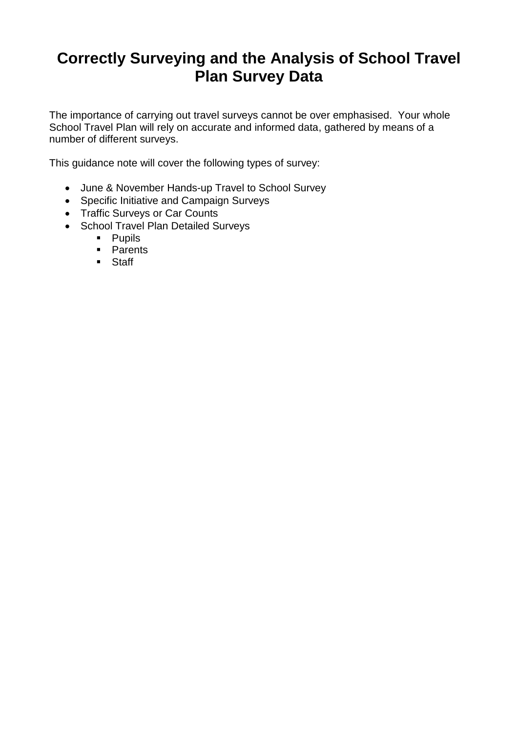# **Correctly Surveying and the Analysis of School Travel Plan Survey Data**

The importance of carrying out travel surveys cannot be over emphasised. Your whole School Travel Plan will rely on accurate and informed data, gathered by means of a number of different surveys.

This guidance note will cover the following types of survey:

- June & November Hands-up Travel to School Survey
- Specific Initiative and Campaign Surveys
- Traffic Surveys or Car Counts
- School Travel Plan Detailed Surveys
	- **Pupils**
	- **Parents**
	- **Staff**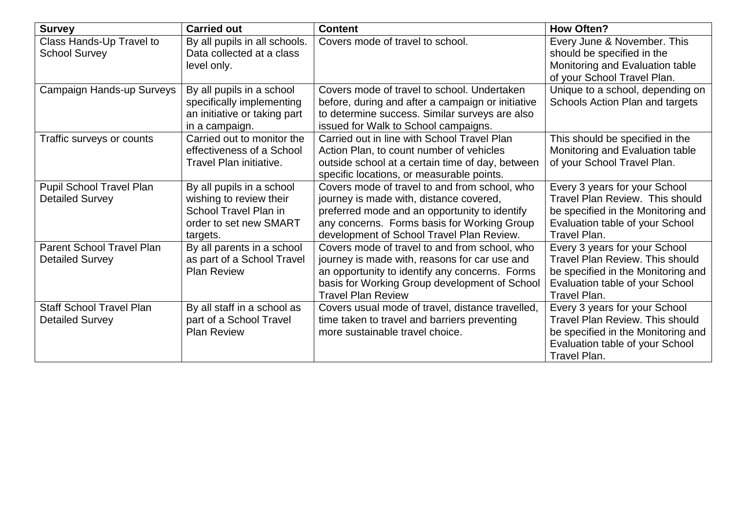| <b>Survey</b>                    | <b>Carried out</b>            | <b>Content</b>                                    | <b>How Often?</b>                      |
|----------------------------------|-------------------------------|---------------------------------------------------|----------------------------------------|
| Class Hands-Up Travel to         | By all pupils in all schools. | Covers mode of travel to school.                  | Every June & November. This            |
| <b>School Survey</b>             | Data collected at a class     |                                                   | should be specified in the             |
|                                  | level only.                   |                                                   | Monitoring and Evaluation table        |
|                                  |                               |                                                   | of your School Travel Plan.            |
| Campaign Hands-up Surveys        | By all pupils in a school     | Covers mode of travel to school. Undertaken       | Unique to a school, depending on       |
|                                  | specifically implementing     | before, during and after a campaign or initiative | Schools Action Plan and targets        |
|                                  | an initiative or taking part  | to determine success. Similar surveys are also    |                                        |
|                                  | in a campaign.                | issued for Walk to School campaigns.              |                                        |
| Traffic surveys or counts        | Carried out to monitor the    | Carried out in line with School Travel Plan       | This should be specified in the        |
|                                  | effectiveness of a School     | Action Plan, to count number of vehicles          | Monitoring and Evaluation table        |
|                                  | Travel Plan initiative.       | outside school at a certain time of day, between  | of your School Travel Plan.            |
|                                  |                               | specific locations, or measurable points.         |                                        |
| Pupil School Travel Plan         | By all pupils in a school     | Covers mode of travel to and from school, who     | Every 3 years for your School          |
| <b>Detailed Survey</b>           | wishing to review their       | journey is made with, distance covered,           | Travel Plan Review. This should        |
|                                  | School Travel Plan in         | preferred mode and an opportunity to identify     | be specified in the Monitoring and     |
|                                  | order to set new SMART        | any concerns. Forms basis for Working Group       | Evaluation table of your School        |
|                                  | targets.                      | development of School Travel Plan Review.         | Travel Plan.                           |
| <b>Parent School Travel Plan</b> | By all parents in a school    | Covers mode of travel to and from school, who     | Every 3 years for your School          |
| <b>Detailed Survey</b>           | as part of a School Travel    | journey is made with, reasons for car use and     | <b>Travel Plan Review. This should</b> |
|                                  | <b>Plan Review</b>            | an opportunity to identify any concerns. Forms    | be specified in the Monitoring and     |
|                                  |                               | basis for Working Group development of School     | Evaluation table of your School        |
|                                  |                               | <b>Travel Plan Review</b>                         | Travel Plan.                           |
| <b>Staff School Travel Plan</b>  | By all staff in a school as   | Covers usual mode of travel, distance travelled,  | Every 3 years for your School          |
| <b>Detailed Survey</b>           | part of a School Travel       | time taken to travel and barriers preventing      | Travel Plan Review. This should        |
|                                  | <b>Plan Review</b>            | more sustainable travel choice.                   | be specified in the Monitoring and     |
|                                  |                               |                                                   | Evaluation table of your School        |
|                                  |                               |                                                   | Travel Plan.                           |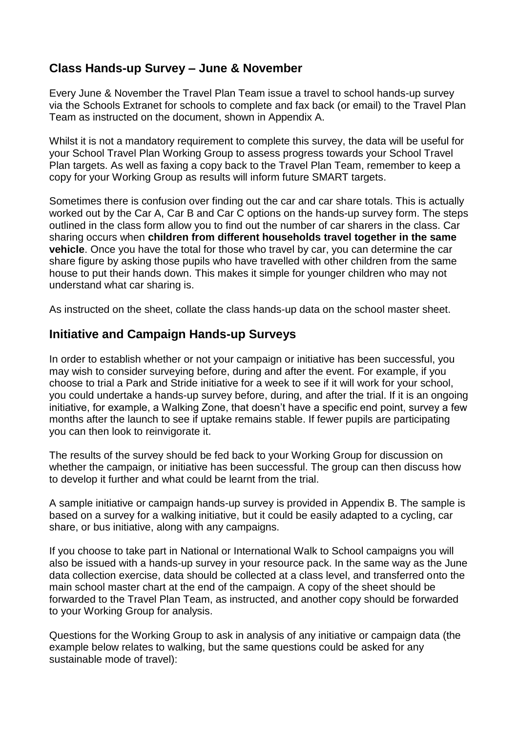### **Class Hands-up Survey – June & November**

Every June & November the Travel Plan Team issue a travel to school hands-up survey via the Schools Extranet for schools to complete and fax back (or email) to the Travel Plan Team as instructed on the document, shown in Appendix A.

Whilst it is not a mandatory requirement to complete this survey, the data will be useful for your School Travel Plan Working Group to assess progress towards your School Travel Plan targets. As well as faxing a copy back to the Travel Plan Team, remember to keep a copy for your Working Group as results will inform future SMART targets.

Sometimes there is confusion over finding out the car and car share totals. This is actually worked out by the Car A, Car B and Car C options on the hands-up survey form. The steps outlined in the class form allow you to find out the number of car sharers in the class. Car sharing occurs when **children from different households travel together in the same vehicle**. Once you have the total for those who travel by car, you can determine the car share figure by asking those pupils who have travelled with other children from the same house to put their hands down. This makes it simple for younger children who may not understand what car sharing is.

As instructed on the sheet, collate the class hands-up data on the school master sheet.

### **Initiative and Campaign Hands-up Surveys**

In order to establish whether or not your campaign or initiative has been successful, you may wish to consider surveying before, during and after the event. For example, if you choose to trial a Park and Stride initiative for a week to see if it will work for your school, you could undertake a hands-up survey before, during, and after the trial. If it is an ongoing initiative, for example, a Walking Zone, that doesn't have a specific end point, survey a few months after the launch to see if uptake remains stable. If fewer pupils are participating you can then look to reinvigorate it.

The results of the survey should be fed back to your Working Group for discussion on whether the campaign, or initiative has been successful. The group can then discuss how to develop it further and what could be learnt from the trial.

A sample initiative or campaign hands-up survey is provided in Appendix B. The sample is based on a survey for a walking initiative, but it could be easily adapted to a cycling, car share, or bus initiative, along with any campaigns.

If you choose to take part in National or International Walk to School campaigns you will also be issued with a hands-up survey in your resource pack. In the same way as the June data collection exercise, data should be collected at a class level, and transferred onto the main school master chart at the end of the campaign. A copy of the sheet should be forwarded to the Travel Plan Team, as instructed, and another copy should be forwarded to your Working Group for analysis.

Questions for the Working Group to ask in analysis of any initiative or campaign data (the example below relates to walking, but the same questions could be asked for any sustainable mode of travel):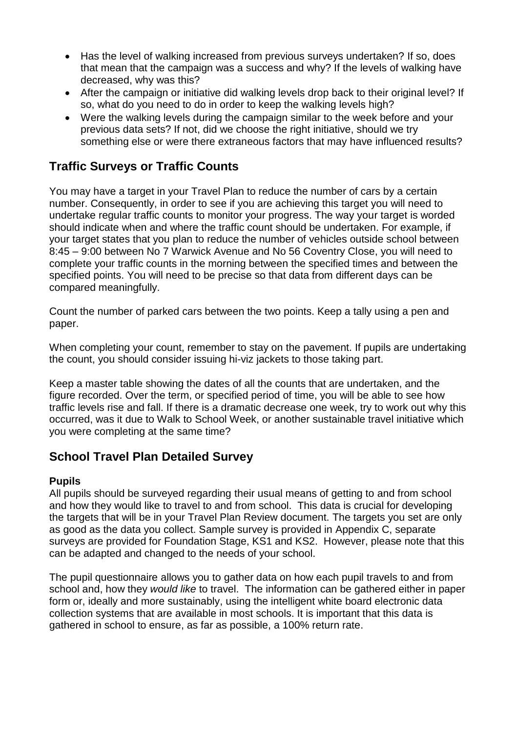- Has the level of walking increased from previous surveys undertaken? If so, does that mean that the campaign was a success and why? If the levels of walking have decreased, why was this?
- After the campaign or initiative did walking levels drop back to their original level? If so, what do you need to do in order to keep the walking levels high?
- Were the walking levels during the campaign similar to the week before and your previous data sets? If not, did we choose the right initiative, should we try something else or were there extraneous factors that may have influenced results?

### **Traffic Surveys or Traffic Counts**

You may have a target in your Travel Plan to reduce the number of cars by a certain number. Consequently, in order to see if you are achieving this target you will need to undertake regular traffic counts to monitor your progress. The way your target is worded should indicate when and where the traffic count should be undertaken. For example, if your target states that you plan to reduce the number of vehicles outside school between 8:45 – 9:00 between No 7 Warwick Avenue and No 56 Coventry Close, you will need to complete your traffic counts in the morning between the specified times and between the specified points. You will need to be precise so that data from different days can be compared meaningfully.

Count the number of parked cars between the two points. Keep a tally using a pen and paper.

When completing your count, remember to stay on the pavement. If pupils are undertaking the count, you should consider issuing hi-viz jackets to those taking part.

Keep a master table showing the dates of all the counts that are undertaken, and the figure recorded. Over the term, or specified period of time, you will be able to see how traffic levels rise and fall. If there is a dramatic decrease one week, try to work out why this occurred, was it due to Walk to School Week, or another sustainable travel initiative which you were completing at the same time?

### **School Travel Plan Detailed Survey**

#### **Pupils**

All pupils should be surveyed regarding their usual means of getting to and from school and how they would like to travel to and from school. This data is crucial for developing the targets that will be in your Travel Plan Review document. The targets you set are only as good as the data you collect. Sample survey is provided in Appendix C, separate surveys are provided for Foundation Stage, KS1 and KS2. However, please note that this can be adapted and changed to the needs of your school.

The pupil questionnaire allows you to gather data on how each pupil travels to and from school and, how they *would like* to travel. The information can be gathered either in paper form or, ideally and more sustainably, using the intelligent white board electronic data collection systems that are available in most schools. It is important that this data is gathered in school to ensure, as far as possible, a 100% return rate.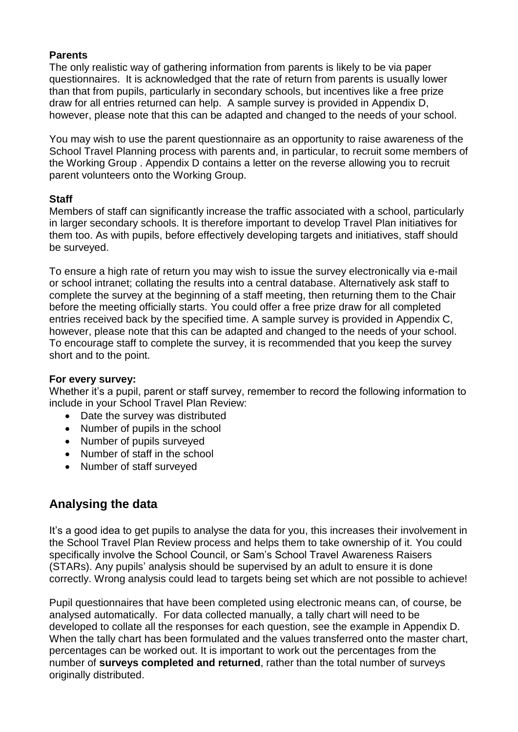#### **Parents**

The only realistic way of gathering information from parents is likely to be via paper questionnaires. It is acknowledged that the rate of return from parents is usually lower than that from pupils, particularly in secondary schools, but incentives like a free prize draw for all entries returned can help. A sample survey is provided in Appendix D, however, please note that this can be adapted and changed to the needs of your school.

You may wish to use the parent questionnaire as an opportunity to raise awareness of the School Travel Planning process with parents and, in particular, to recruit some members of the Working Group . Appendix D contains a letter on the reverse allowing you to recruit parent volunteers onto the Working Group.

#### **Staff**

Members of staff can significantly increase the traffic associated with a school, particularly in larger secondary schools. It is therefore important to develop Travel Plan initiatives for them too. As with pupils, before effectively developing targets and initiatives, staff should be surveyed.

To ensure a high rate of return you may wish to issue the survey electronically via e-mail or school intranet; collating the results into a central database. Alternatively ask staff to complete the survey at the beginning of a staff meeting, then returning them to the Chair before the meeting officially starts. You could offer a free prize draw for all completed entries received back by the specified time. A sample survey is provided in Appendix C, however, please note that this can be adapted and changed to the needs of your school. To encourage staff to complete the survey, it is recommended that you keep the survey short and to the point.

#### **For every survey:**

Whether it's a pupil, parent or staff survey, remember to record the following information to include in your School Travel Plan Review:

- Date the survey was distributed
- Number of pupils in the school
- Number of pupils surveyed
- Number of staff in the school
- Number of staff surveyed

### **Analysing the data**

It's a good idea to get pupils to analyse the data for you, this increases their involvement in the School Travel Plan Review process and helps them to take ownership of it. You could specifically involve the School Council, or Sam's School Travel Awareness Raisers (STARs). Any pupils' analysis should be supervised by an adult to ensure it is done correctly. Wrong analysis could lead to targets being set which are not possible to achieve!

Pupil questionnaires that have been completed using electronic means can, of course, be analysed automatically. For data collected manually, a tally chart will need to be developed to collate all the responses for each question, see the example in Appendix D. When the tally chart has been formulated and the values transferred onto the master chart, percentages can be worked out. It is important to work out the percentages from the number of **surveys completed and returned**, rather than the total number of surveys originally distributed.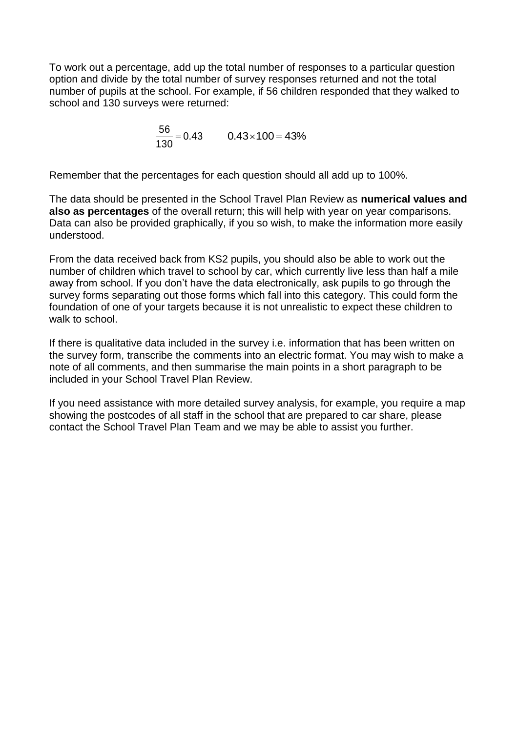To work out a percentage, add up the total number of responses to a particular question option and divide by the total number of survey responses returned and not the total number of pupils at the school. For example, if 56 children responded that they walked to school and 130 surveys were returned:

$$
\frac{56}{130} = 0.43 \qquad 0.43 \times 100 = 43\%
$$

Remember that the percentages for each question should all add up to 100%.

The data should be presented in the School Travel Plan Review as **numerical values and also as percentages** of the overall return; this will help with year on year comparisons. Data can also be provided graphically, if you so wish, to make the information more easily understood.

From the data received back from KS2 pupils, you should also be able to work out the number of children which travel to school by car, which currently live less than half a mile away from school. If you don't have the data electronically, ask pupils to go through the survey forms separating out those forms which fall into this category. This could form the foundation of one of your targets because it is not unrealistic to expect these children to walk to school.

If there is qualitative data included in the survey i.e. information that has been written on the survey form, transcribe the comments into an electric format. You may wish to make a note of all comments, and then summarise the main points in a short paragraph to be included in your School Travel Plan Review.

If you need assistance with more detailed survey analysis, for example, you require a map showing the postcodes of all staff in the school that are prepared to car share, please contact the School Travel Plan Team and we may be able to assist you further.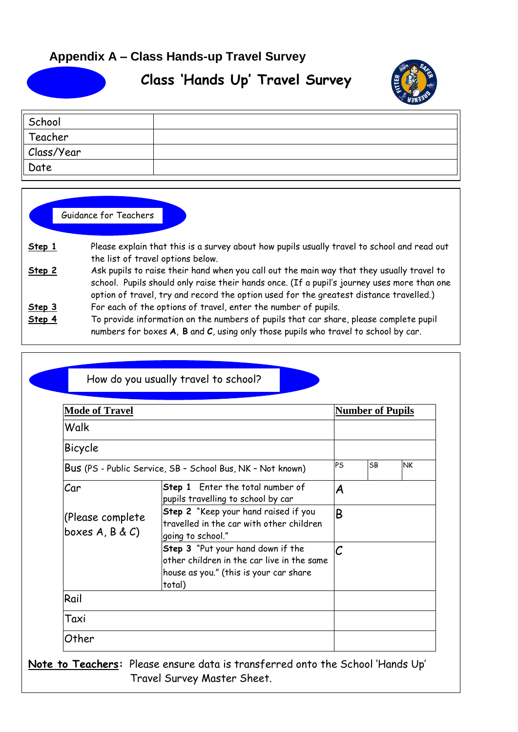## **Appendix A – Class Hands-up Travel Survey**

## **Class 'Hands Up' Travel Survey**



| School     |  |
|------------|--|
| Teacher    |  |
| Class/Year |  |
| Date       |  |

#### Guidance for Teachers

- **Step 1** Please explain that this is a survey about how pupils usually travel to school and read out the list of travel options below.
- **Step 2** Ask pupils to raise their hand when you call out the main way that they usually travel to school. Pupils should only raise their hands once. (If a pupil's journey uses more than one option of travel, try and record the option used for the greatest distance travelled.) **Step 3** For each of the options of travel, enter the number of pupils.
- **Step 4** To provide information on the numbers of pupils that car share, please complete pupil numbers for boxes **A**, **B** and **C**, using only those pupils who travel to school by car.

| <b>Mode of Travel</b>                                      |                                                                                                                                     | <b>Number of Pupils</b> |           |  |  |  |
|------------------------------------------------------------|-------------------------------------------------------------------------------------------------------------------------------------|-------------------------|-----------|--|--|--|
| Walk                                                       |                                                                                                                                     |                         |           |  |  |  |
| <b>Bicycle</b>                                             |                                                                                                                                     |                         |           |  |  |  |
| Bus (PS - Public Service, SB - School Bus, NK - Not known) | PS                                                                                                                                  | <b>SB</b>               | <b>NK</b> |  |  |  |
| Car                                                        | Step 1 Enter the total number of<br>pupils travelling to school by car                                                              | A                       |           |  |  |  |
| (Please complete<br>boxes $A, B & C$                       | Step 2 "Keep your hand raised if you<br>travelled in the car with other children<br>going to school."                               | B                       |           |  |  |  |
|                                                            | Step 3 "Put your hand down if the<br>other children in the car live in the same<br>house as you." (this is your car share<br>total) | $\mathcal C$            |           |  |  |  |
| Rail                                                       |                                                                                                                                     |                         |           |  |  |  |
| Taxi                                                       |                                                                                                                                     |                         |           |  |  |  |

**Note to Teachers:** Please ensure data is transferred onto the School 'Hands Up' Travel Survey Master Sheet.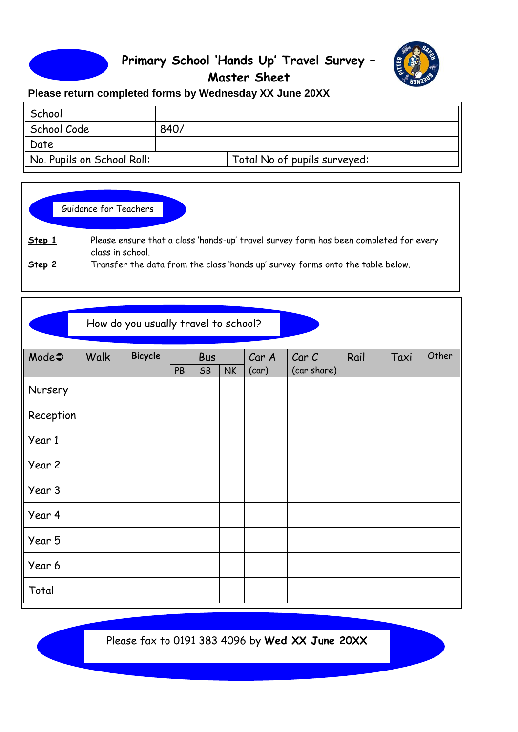



## **Please return completed forms by Wednesday XX June 20XX**

| School                     |      |                              |  |
|----------------------------|------|------------------------------|--|
| School Code                | 840/ |                              |  |
| Date                       |      |                              |  |
| No. Pupils on School Roll: |      | Total No of pupils surveyed: |  |

#### Guidance for Teachers

**Step 1** Please ensure that a class 'hands-up' travel survey form has been completed for every class in school.

**Step 2** Transfer the data from the class 'hands up' survey forms onto the table below.

|           | How do you usually travel to school? |                |    |                  |           |                |                     |      |      |       |  |  |  |  |
|-----------|--------------------------------------|----------------|----|------------------|-----------|----------------|---------------------|------|------|-------|--|--|--|--|
| Mode      | <b>Walk</b>                          | <b>Bicycle</b> | PB | <b>Bus</b><br>SB | <b>NK</b> | Car A<br>(car) | CarC<br>(car share) | Rail | Taxi | Other |  |  |  |  |
| Nursery   |                                      |                |    |                  |           |                |                     |      |      |       |  |  |  |  |
| Reception |                                      |                |    |                  |           |                |                     |      |      |       |  |  |  |  |
| Year 1    |                                      |                |    |                  |           |                |                     |      |      |       |  |  |  |  |
| Year 2    |                                      |                |    |                  |           |                |                     |      |      |       |  |  |  |  |
| Year 3    |                                      |                |    |                  |           |                |                     |      |      |       |  |  |  |  |
| Year 4    |                                      |                |    |                  |           |                |                     |      |      |       |  |  |  |  |
| Year 5    |                                      |                |    |                  |           |                |                     |      |      |       |  |  |  |  |
| Year 6    |                                      |                |    |                  |           |                |                     |      |      |       |  |  |  |  |
| Total     |                                      |                |    |                  |           |                |                     |      |      |       |  |  |  |  |

Please fax to 0191 383 4096 by **Wed XX June 20XX**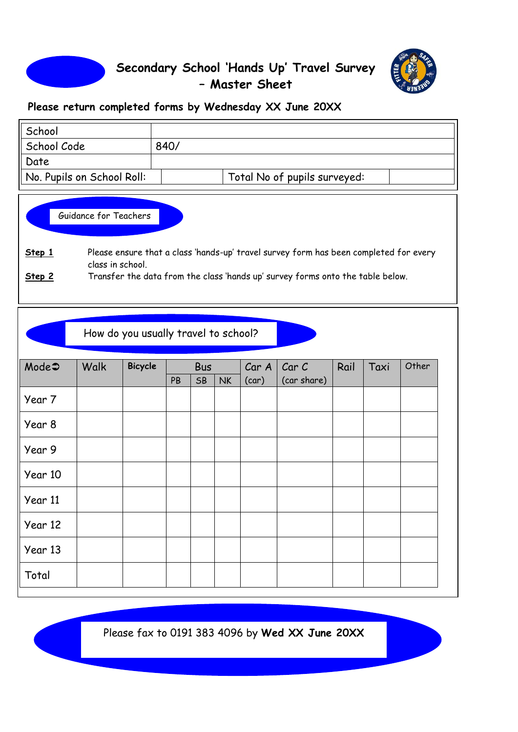



#### **Please return completed forms by Wednesday XX June 20XX**

| School                                 |      |                              |  |
|----------------------------------------|------|------------------------------|--|
| $\parallel$ School Code                | 840/ |                              |  |
| Date                                   |      |                              |  |
| $\parallel$ No. Pupils on School Roll: |      | Total No of pupils surveyed: |  |

Guidance for Teachers

**Step 1** Please ensure that a class 'hands-up' travel survey form has been completed for every class in school.

**Step 2** Transfer the data from the class 'hands up' survey forms onto the table below.

How do you usually travel to school?

| Mode    | <b>Walk</b> | <b>Bicycle</b> |    | <b>Bus</b> |           | Car A | CarC        | Rail | Taxi | Other |
|---------|-------------|----------------|----|------------|-----------|-------|-------------|------|------|-------|
|         |             |                | PB | SB         | <b>NK</b> | (car) | (car share) |      |      |       |
| Year 7  |             |                |    |            |           |       |             |      |      |       |
| Year 8  |             |                |    |            |           |       |             |      |      |       |
| Year 9  |             |                |    |            |           |       |             |      |      |       |
| Year 10 |             |                |    |            |           |       |             |      |      |       |
| Year 11 |             |                |    |            |           |       |             |      |      |       |
| Year 12 |             |                |    |            |           |       |             |      |      |       |
| Year 13 |             |                |    |            |           |       |             |      |      |       |
| Total   |             |                |    |            |           |       |             |      |      |       |

Please fax to 0191 383 4096 by **Wed XX June 20XX**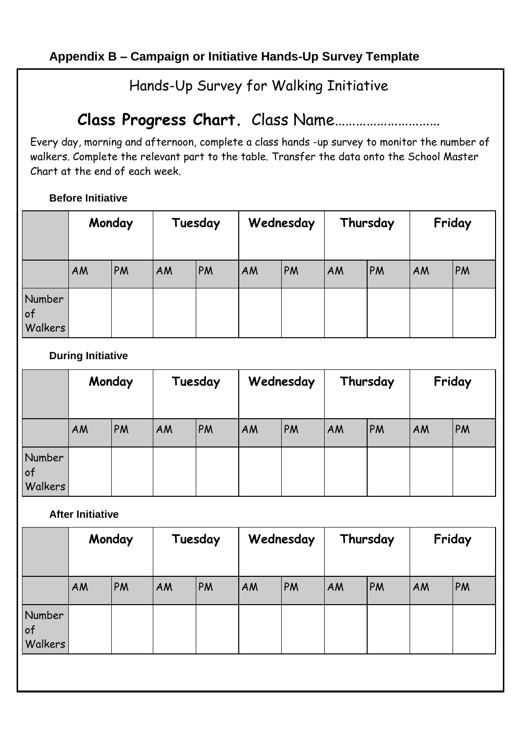# Hands-Up Survey for Walking Initiative

# **Class Progress Chart.** Class Name…………………………

Every day, morning and afternoon, complete a class hands -up survey to monitor the number of walkers. Complete the relevant part to the table. Transfer the data onto the School Master Chart at the end of each week.

### **Before Initiative**

|                             | Monday |    | Tuesday |    | Wednesday |    | Thursday |           | Friday |    |
|-----------------------------|--------|----|---------|----|-----------|----|----------|-----------|--------|----|
|                             | AM     | PM | AM      | PM | AM        | PM | AM       | <b>PM</b> | AM     | PM |
| Number<br>$ $ of<br>Walkers |        |    |         |    |           |    |          |           |        |    |

### **During Initiative**

|                          | Monday |           | Tuesday |    | Wednesday |           | Thursday |    | Friday |    |
|--------------------------|--------|-----------|---------|----|-----------|-----------|----------|----|--------|----|
|                          | AM     | <b>PM</b> | AM      | PM | AM        | <b>PM</b> | AM       | PM | AM     | PM |
| Number<br> of<br>Walkers |        |           |         |    |           |           |          |    |        |    |

### **After Initiative**

| PM<br>AM<br>PM<br>PM<br><b>PM</b><br>AM<br>AM<br>AM<br>AM | Friday |  |
|-----------------------------------------------------------|--------|--|
|                                                           | PM     |  |
| Number<br>$ $ of<br>Walkers                               |        |  |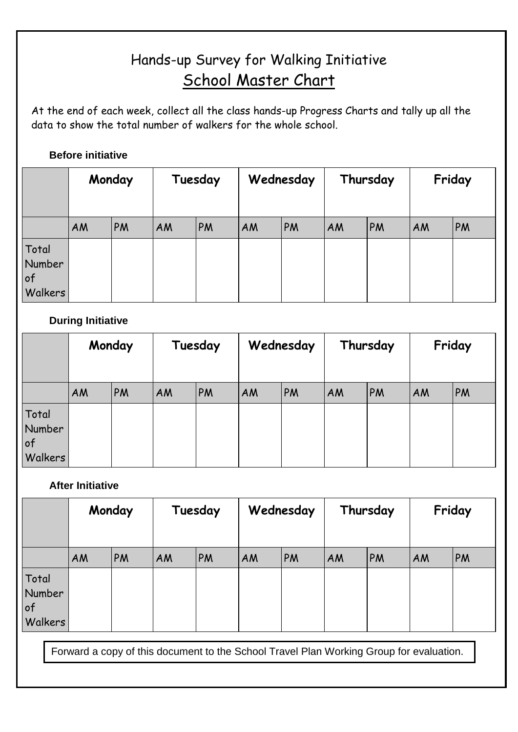# Hands-up Survey for Walking Initiative School Master Chart

At the end of each week, collect all the class hands-up Progress Charts and tally up all the data to show the total number of walkers for the whole school.

#### **Before initiative**

|                                  | Monday |           | Tuesday |    | Wednesday |    | Thursday |    | Friday |    |
|----------------------------------|--------|-----------|---------|----|-----------|----|----------|----|--------|----|
|                                  | AM     | <b>PM</b> | AM      | PM | AM        | PM | AM       | PM | AM     | PM |
| Total<br>Number<br>of<br>Walkers |        |           |         |    |           |    |          |    |        |    |

#### **During Initiative**

|                                      | Monday |           | Tuesday |           | Wednesday |    | Thursday |    | Friday |    |
|--------------------------------------|--------|-----------|---------|-----------|-----------|----|----------|----|--------|----|
|                                      | AM     | <b>PM</b> | AM      | <b>PM</b> | AM        | PM | AM       | PM | AM     | PM |
| Total<br>Number<br>$ $ of<br>Walkers |        |           |         |           |           |    |          |    |        |    |

#### **After Initiative**

|                                         | Monday |    |    | Tuesday |    | Wednesday |    | Thursday |    | Friday |  |
|-----------------------------------------|--------|----|----|---------|----|-----------|----|----------|----|--------|--|
|                                         | AM     | PM | AM | PM      | AM | PM        | AM | PM       | AM | PM     |  |
| Total<br>Number<br>$\circ$ f<br>Walkers |        |    |    |         |    |           |    |          |    |        |  |

Forward a copy of this document to the School Travel Plan Working Group for evaluation.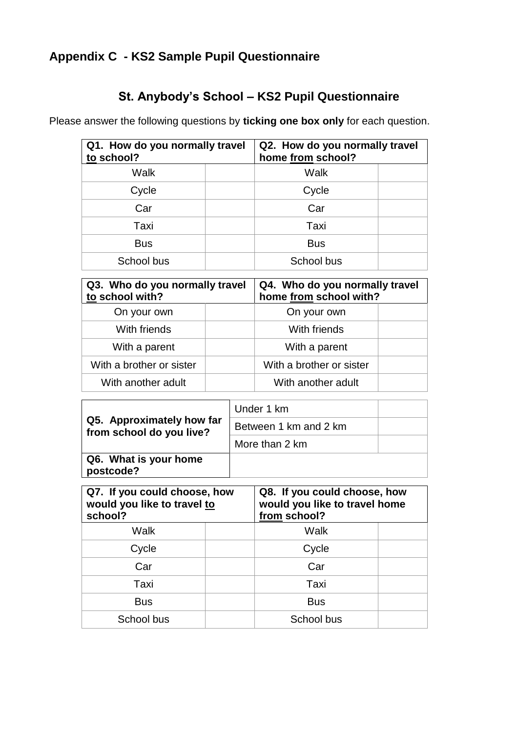## **Appendix C - KS2 Sample Pupil Questionnaire**

## **St. Anybody's School – KS2 Pupil Questionnaire**

Please answer the following questions by **ticking one box only** for each question.

| Q1. How do you normally travel<br>to school? | Q2. How do you normally travel<br>home from school? |  |  |
|----------------------------------------------|-----------------------------------------------------|--|--|
| Walk                                         | Walk                                                |  |  |
| Cycle                                        | Cycle                                               |  |  |
| Car                                          | Car                                                 |  |  |
| Taxi                                         | Taxi                                                |  |  |
| <b>Bus</b>                                   | <b>Bus</b>                                          |  |  |
| School bus                                   | School bus                                          |  |  |

| Q3. Who do you normally travel<br>to school with? | Q4. Who do you normally travel<br>home from school with? |
|---------------------------------------------------|----------------------------------------------------------|
| On your own                                       | On your own                                              |
| With friends                                      | With friends                                             |
| With a parent                                     | With a parent                                            |
| With a brother or sister                          | With a brother or sister                                 |
| With another adult                                | With another adult                                       |

|                                                       | Under 1 km            |  |
|-------------------------------------------------------|-----------------------|--|
| Q5. Approximately how far<br>from school do you live? | Between 1 km and 2 km |  |
|                                                       | More than 2 km        |  |
| Q6. What is your home<br>postcode?                    |                       |  |

| Q7. If you could choose, how<br>would you like to travel to<br>school? | Q8. If you could choose, how<br>would you like to travel home<br>from school? |
|------------------------------------------------------------------------|-------------------------------------------------------------------------------|
| Walk                                                                   | Walk                                                                          |
| Cycle                                                                  | Cycle                                                                         |
| Car                                                                    | Car                                                                           |
| Taxi                                                                   | Taxi                                                                          |
| <b>Bus</b>                                                             | <b>Bus</b>                                                                    |
| School bus                                                             | School bus                                                                    |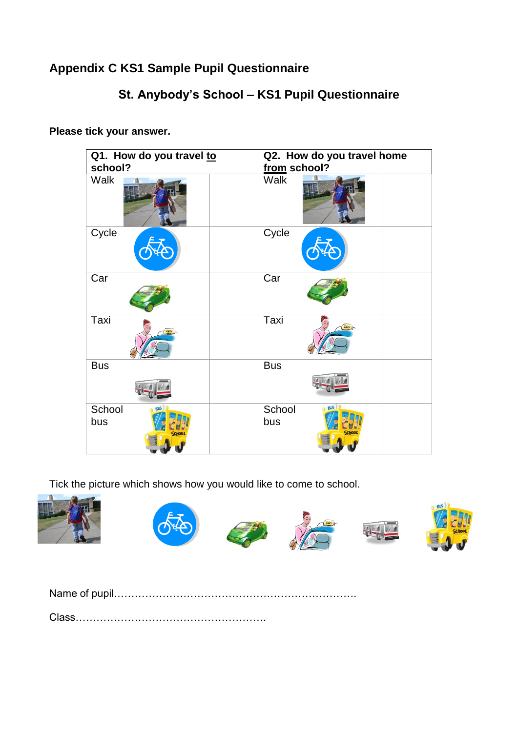## **Appendix C KS1 Sample Pupil Questionnaire**

## **St. Anybody's School – KS1 Pupil Questionnaire**

| Q1. How do you travel to<br>school? | Q2. How do you travel home<br>from school? |  |  |  |
|-------------------------------------|--------------------------------------------|--|--|--|
| Walk                                | Walk                                       |  |  |  |
| Cycle                               | Cycle                                      |  |  |  |
| Car                                 | Car                                        |  |  |  |
| Taxi                                | Taxi                                       |  |  |  |
| <b>Bus</b>                          | <b>Bus</b>                                 |  |  |  |
| School<br><b>BUS</b><br>bus         | <b>BUS</b><br>School<br>bus                |  |  |  |

**Please tick your answer.**

Tick the picture which shows how you would like to come to school.

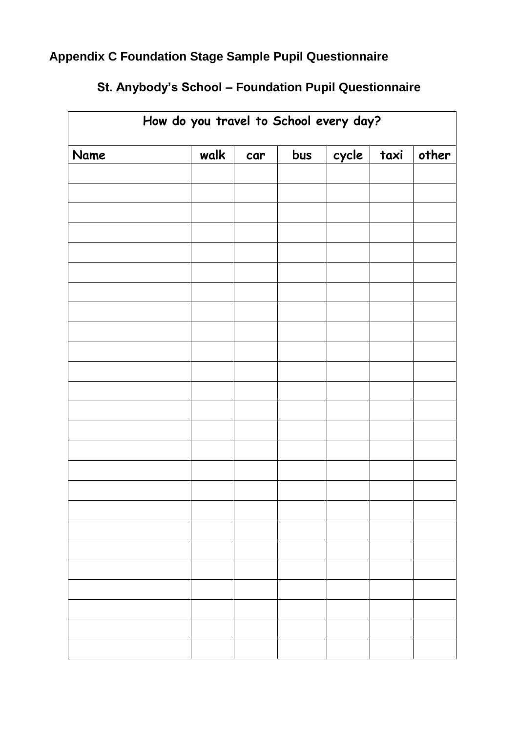# **Appendix C Foundation Stage Sample Pupil Questionnaire**

# **St. Anybody's School – Foundation Pupil Questionnaire**

| How do you travel to School every day? |      |     |     |       |      |       |  |
|----------------------------------------|------|-----|-----|-------|------|-------|--|
| Name                                   | walk | car | bus | cycle | taxi | other |  |
|                                        |      |     |     |       |      |       |  |
|                                        |      |     |     |       |      |       |  |
|                                        |      |     |     |       |      |       |  |
|                                        |      |     |     |       |      |       |  |
|                                        |      |     |     |       |      |       |  |
|                                        |      |     |     |       |      |       |  |
|                                        |      |     |     |       |      |       |  |
|                                        |      |     |     |       |      |       |  |
|                                        |      |     |     |       |      |       |  |
|                                        |      |     |     |       |      |       |  |
|                                        |      |     |     |       |      |       |  |
|                                        |      |     |     |       |      |       |  |
|                                        |      |     |     |       |      |       |  |
|                                        |      |     |     |       |      |       |  |
|                                        |      |     |     |       |      |       |  |
|                                        |      |     |     |       |      |       |  |
|                                        |      |     |     |       |      |       |  |
|                                        |      |     |     |       |      |       |  |
|                                        |      |     |     |       |      |       |  |
|                                        |      |     |     |       |      |       |  |
|                                        |      |     |     |       |      |       |  |
|                                        |      |     |     |       |      |       |  |
|                                        |      |     |     |       |      |       |  |
|                                        |      |     |     |       |      |       |  |
|                                        |      |     |     |       |      |       |  |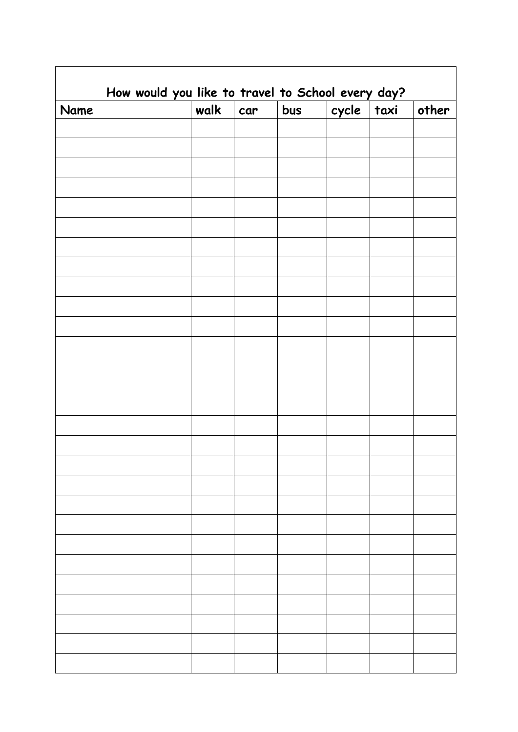| How would you like to travel to School every day? |      |     |     |            |       |
|---------------------------------------------------|------|-----|-----|------------|-------|
| Name                                              | walk | car | bus | cycle taxi | other |
|                                                   |      |     |     |            |       |
|                                                   |      |     |     |            |       |
|                                                   |      |     |     |            |       |
|                                                   |      |     |     |            |       |
|                                                   |      |     |     |            |       |
|                                                   |      |     |     |            |       |
|                                                   |      |     |     |            |       |
|                                                   |      |     |     |            |       |
|                                                   |      |     |     |            |       |
|                                                   |      |     |     |            |       |
|                                                   |      |     |     |            |       |
|                                                   |      |     |     |            |       |
|                                                   |      |     |     |            |       |
|                                                   |      |     |     |            |       |
|                                                   |      |     |     |            |       |
|                                                   |      |     |     |            |       |
|                                                   |      |     |     |            |       |
|                                                   |      |     |     |            |       |
|                                                   |      |     |     |            |       |
|                                                   |      |     |     |            |       |
|                                                   |      |     |     |            |       |
|                                                   |      |     |     |            |       |
|                                                   |      |     |     |            |       |
|                                                   |      |     |     |            |       |
|                                                   |      |     |     |            |       |
|                                                   |      |     |     |            |       |
|                                                   |      |     |     |            |       |
|                                                   |      |     |     |            |       |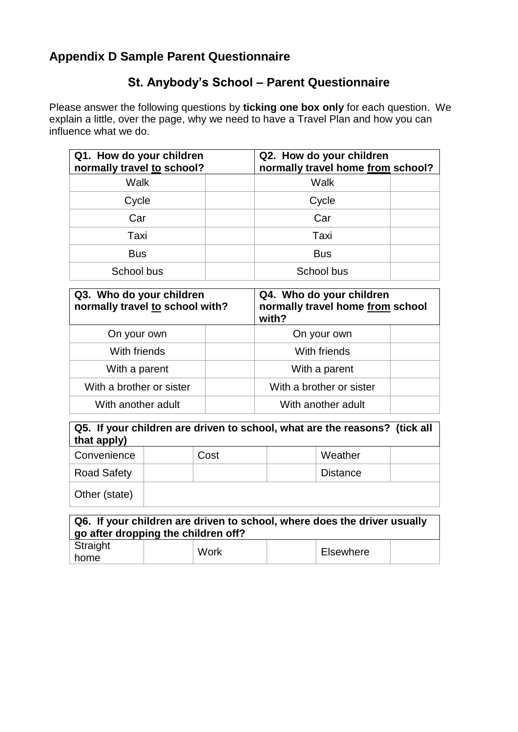## **Appendix D Sample Parent Questionnaire**

### **St. Anybody's School – Parent Questionnaire**

Please answer the following questions by **ticking one box only** for each question. We explain a little, over the page, why we need to have a Travel Plan and how you can influence what we do.

| Q1. How do your children<br>normally travel to school? | Q2. How do your children<br>normally travel home from school? |
|--------------------------------------------------------|---------------------------------------------------------------|
| Walk                                                   | Walk                                                          |
| Cycle                                                  | Cycle                                                         |
| Car                                                    | Car                                                           |
| Taxi                                                   | Taxi                                                          |
| <b>Bus</b>                                             | <b>Bus</b>                                                    |
| School bus                                             | School bus                                                    |

| Q3. Who do your children<br>normally travel to school with? | Q4. Who do your children<br>normally travel home from school<br>with? |
|-------------------------------------------------------------|-----------------------------------------------------------------------|
| On your own                                                 | On your own                                                           |
| With friends                                                | With friends                                                          |
| With a parent                                               | With a parent                                                         |
| With a brother or sister                                    | With a brother or sister                                              |
| With another adult                                          | With another adult                                                    |

**Q5. If your children are driven to school, what are the reasons? (tick all that apply)**

| Convenience        | Cost | Weather         |  |
|--------------------|------|-----------------|--|
| <b>Road Safety</b> |      | <b>Distance</b> |  |
| Other (state)      |      |                 |  |

| Q6. If your children are driven to school, where does the driver usually<br>go after dropping the children off? |  |      |  |           |  |
|-----------------------------------------------------------------------------------------------------------------|--|------|--|-----------|--|
| Straight<br>home                                                                                                |  | Work |  | Elsewhere |  |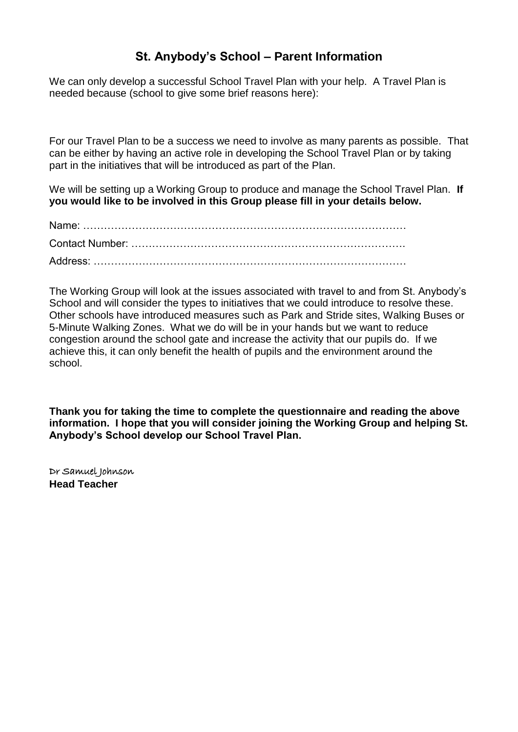### **St. Anybody's School – Parent Information**

We can only develop a successful School Travel Plan with your help. A Travel Plan is needed because (school to give some brief reasons here):

For our Travel Plan to be a success we need to involve as many parents as possible. That can be either by having an active role in developing the School Travel Plan or by taking part in the initiatives that will be introduced as part of the Plan.

We will be setting up a Working Group to produce and manage the School Travel Plan. **If you would like to be involved in this Group please fill in your details below.**

The Working Group will look at the issues associated with travel to and from St. Anybody's School and will consider the types to initiatives that we could introduce to resolve these. Other schools have introduced measures such as Park and Stride sites, Walking Buses or 5-Minute Walking Zones. What we do will be in your hands but we want to reduce congestion around the school gate and increase the activity that our pupils do. If we achieve this, it can only benefit the health of pupils and the environment around the school.

**Thank you for taking the time to complete the questionnaire and reading the above information. I hope that you will consider joining the Working Group and helping St. Anybody's School develop our School Travel Plan.**

Dr Samuel Johnson **Head Teacher**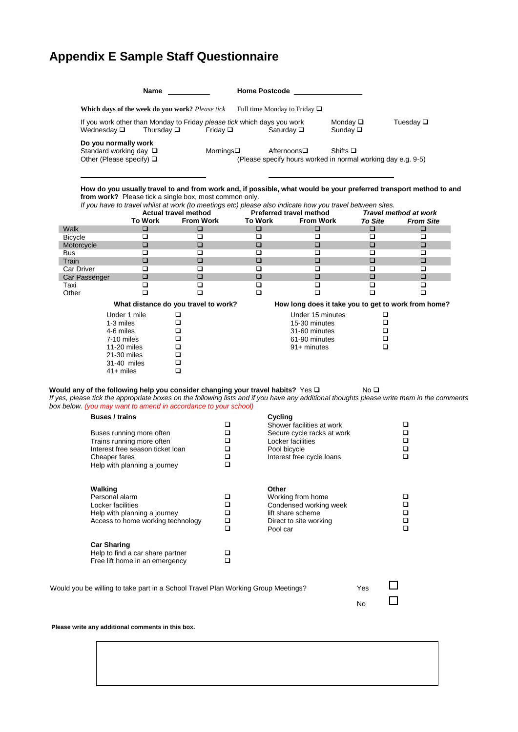## **Appendix E Sample Staff Questionnaire**

| <b>Name</b>                                                                                                         |                    | <b>Home Postcode</b>                                                        |                                      |                   |
|---------------------------------------------------------------------------------------------------------------------|--------------------|-----------------------------------------------------------------------------|--------------------------------------|-------------------|
| Which days of the week do you work? Please tick                                                                     |                    | Full time Monday to Friday $\Box$                                           |                                      |                   |
| If you work other than Monday to Friday please tick which days you work<br>Wednesday $\square$<br>Thursdav <b>□</b> | Friday $\square$   | Saturday $\square$                                                          | Monday $\square$<br>Sunday $\square$ | Tuesday $\square$ |
| Do you normally work<br>Standard working day $\square$<br>Other (Please specify) $\Box$                             | Mornings $\square$ | Afternoons□<br>(Please specify hours worked in normal working day e.g. 9-5) | Shifts $\square$                     |                   |

**How do you usually travel to and from work and, if possible, what would be your preferred transport method to and from work?** Please tick a single box, most common only. *If you have to travel whilst at work (to meetings etc) please also indicate how you travel between sites.* 

|                                      |                | Actual travel method | <b>Preferred travel method</b>                      |                  | Travel method at work |                  |
|--------------------------------------|----------------|----------------------|-----------------------------------------------------|------------------|-----------------------|------------------|
|                                      | <b>To Work</b> | <b>From Work</b>     | <b>To Work</b>                                      | <b>From Work</b> | <b>To Site</b>        | <b>From Site</b> |
| Walk                                 | $\Box$         |                      |                                                     | □                | □                     |                  |
| <b>Bicycle</b>                       |                |                      |                                                     |                  |                       |                  |
| Motorcycle                           | ப              |                      | □                                                   |                  | П                     |                  |
| <b>Bus</b>                           |                |                      |                                                     |                  |                       |                  |
| Train                                | □              |                      |                                                     |                  | П                     |                  |
| <b>Car Driver</b>                    |                |                      |                                                     |                  |                       |                  |
| Car Passenger                        | ❏              |                      |                                                     |                  |                       |                  |
| Taxi                                 |                |                      |                                                     |                  |                       |                  |
| Other                                |                |                      |                                                     |                  |                       |                  |
| What distance do you travel to work? |                |                      | How long does it take you to get to work from home? |                  |                       |                  |
|                                      | Under 1 mile   |                      |                                                     | Under 15 minutes |                       |                  |
|                                      | 1-3 miles      |                      |                                                     | 15-30 minutes    |                       |                  |
|                                      | 4-6 miles      |                      |                                                     | 31-60 minutes    |                       |                  |
|                                      | 7-10 miles     |                      |                                                     | 61-90 minutes    |                       |                  |
|                                      | 11-20 miles    |                      |                                                     | $91 +$ minutes   |                       |                  |
|                                      | 21-30 miles    |                      |                                                     |                  |                       |                  |
|                                      | 31-40 miles    |                      |                                                     |                  |                       |                  |
|                                      | $41+$ miles    |                      |                                                     |                  |                       |                  |

#### **Would any of the following help you consider changing your travel habits?** Yes  $\Box$  No  $\Box$

*If yes, please tick the appropriate boxes on the following lists and if you have any additional thoughts please write them in the comments box below. (you may want to amend in accordance to your school)*

| <b>Buses / trains</b><br>Buses running more often<br>Trains running more often<br>Interest free season ticket loan<br>Cheaper fares<br>Help with planning a journey | ◻<br>❏<br>◻<br>❏<br>◻ | Cycling<br>Shower facilities at work<br>Secure cycle racks at work<br>Locker facilities<br>Pool bicycle<br>Interest free cycle loans |           | □<br>□<br>□<br>П |
|---------------------------------------------------------------------------------------------------------------------------------------------------------------------|-----------------------|--------------------------------------------------------------------------------------------------------------------------------------|-----------|------------------|
| Walking<br>Personal alarm<br>Locker facilities<br>Help with planning a journey<br>Access to home working technology                                                 | ◻<br>◻<br>◻<br>□<br>◻ | Other<br>Working from home<br>Condensed working week<br>lift share scheme<br>Direct to site working<br>Pool car                      |           | n<br>П           |
| <b>Car Sharing</b><br>Help to find a car share partner<br>Free lift home in an emergency                                                                            | ❏<br>□                |                                                                                                                                      |           |                  |
| Would you be willing to take part in a School Travel Plan Working Group Meetings?                                                                                   |                       |                                                                                                                                      | Yes<br>No |                  |

**Please write any additional comments in this box.**